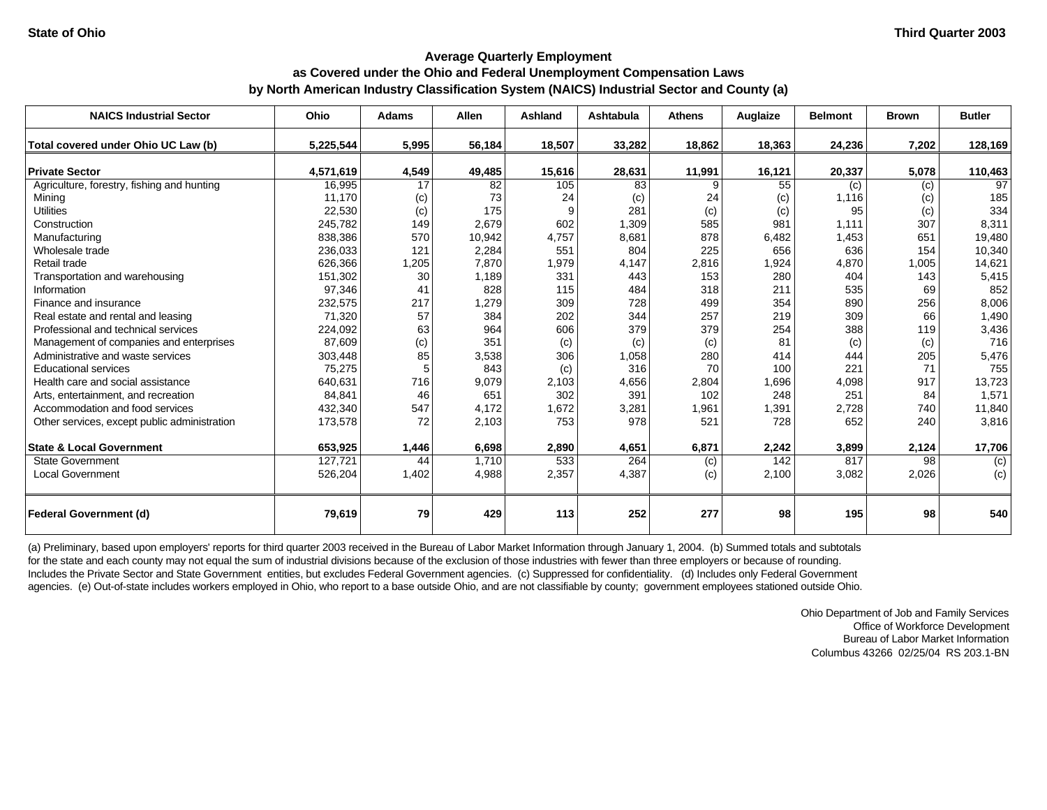## **as Covered under the Ohio and Federal Unemployment Compensation Laws**

### **by North American Industry Classification System (NAICS) Industrial Sector and County (a)**

| <b>NAICS Industrial Sector</b>               | Ohio      | <b>Adams</b> | <b>Allen</b> | Ashland | <b>Ashtabula</b> | <b>Athens</b> | Auglaize | <b>Belmont</b> | <b>Brown</b> | <b>Butler</b>   |
|----------------------------------------------|-----------|--------------|--------------|---------|------------------|---------------|----------|----------------|--------------|-----------------|
| Total covered under Ohio UC Law (b)          | 5,225,544 | 5,995        | 56,184       | 18,507  | 33,282           | 18,862        | 18,363   | 24,236         | 7.202        | 128,169         |
| <b>Private Sector</b>                        | 4,571,619 | 4,549        | 49,485       | 15,616  | 28,631           | 11,991        | 16,121   | 20,337         | 5,078        | 110,463         |
| Agriculture, forestry, fishing and hunting   | 16,995    | 17           | 82           | 105     | 83               | 9             | 55       | (c)            | (c)          | $\overline{97}$ |
| Mining                                       | 11,170    | (c)          | 73           | 24      | (c)              | 24            | (c)      | 1,116          | (c)          | 185             |
| <b>Utilities</b>                             | 22,530    | (c)          | 175          | 9       | 281              | (c)           | (c)      | 95             | (c)          | 334             |
| Construction                                 | 245,782   | 149          | 2,679        | 602     | 1,309            | 585           | 981      | 1,111          | 307          | 8,311           |
| Manufacturing                                | 838,386   | 570          | 10,942       | 4,757   | 8,681            | 878           | 6,482    | 1,453          | 651          | 19,480          |
| Wholesale trade                              | 236,033   | 121          | 2,284        | 551     | 804              | 225           | 656      | 636            | 154          | 10,340          |
| Retail trade                                 | 626,366   | 1,205        | 7,870        | 1,979   | 4,147            | 2,816         | 1,924    | 4,870          | 1,005        | 14,621          |
| Transportation and warehousing               | 151,302   | 30           | 1,189        | 331     | 443              | 153           | 280      | 404            | 143          | 5,415           |
| Information                                  | 97,346    | 41           | 828          | 115     | 484              | 318           | 211      | 535            | 69           | 852             |
| Finance and insurance                        | 232,575   | 217          | 1,279        | 309     | 728              | 499           | 354      | 890            | 256          | 8,006           |
| Real estate and rental and leasing           | 71,320    | 57           | 384          | 202     | 344              | 257           | 219      | 309            | 66           | 1,490           |
| Professional and technical services          | 224,092   | 63           | 964          | 606     | 379              | 379           | 254      | 388            | 119          | 3,436           |
| Management of companies and enterprises      | 87,609    | (c)          | 351          | (c)     | (c)              | (c)           | 81       | (c)            | (c)          | 716             |
| Administrative and waste services            | 303,448   | 85           | 3,538        | 306     | 1,058            | 280           | 414      | 444            | 205          | 5,476           |
| <b>Educational services</b>                  | 75,275    | 5            | 843          | (c)     | 316              | 70            | 100      | 221            | 71           | 755             |
| Health care and social assistance            | 640,631   | 716          | 9,079        | 2,103   | 4,656            | 2,804         | 1,696    | 4,098          | 917          | 13,723          |
| Arts, entertainment, and recreation          | 84,841    | 46           | 651          | 302     | 391              | 102           | 248      | 251            | 84           | 1,571           |
| Accommodation and food services              | 432,340   | 547          | 4,172        | 1,672   | 3,281            | 1,961         | 1,391    | 2,728          | 740          | 11,840          |
| Other services, except public administration | 173,578   | 72           | 2,103        | 753     | 978              | 521           | 728      | 652            | 240          | 3,816           |
| <b>State &amp; Local Government</b>          | 653,925   | 1,446        | 6,698        | 2,890   | 4,651            | 6,871         | 2,242    | 3,899          | 2,124        | 17,706          |
| <b>State Government</b>                      | 127,721   | 44           | 1,710        | 533     | 264              | (c)           | 142      | 817            | 98           | (c)             |
| <b>Local Government</b>                      | 526,204   | 1,402        | 4,988        | 2,357   | 4,387            | (c)           | 2,100    | 3,082          | 2,026        | (c)             |
| <b>Federal Government (d)</b>                | 79,619    | 79           | 429          | 113     | 252              | 277           | 98       | 195            | 98           | 540             |

(a) Preliminary, based upon employers' reports for third quarter 2003 received in the Bureau of Labor Market Information through January 1, 2004. (b) Summed totals and subtotals for the state and each county may not equal the sum of industrial divisions because of the exclusion of those industries with fewer than three employers or because of rounding. Includes the Private Sector and State Government entities, but excludes Federal Government agencies. (c) Suppressed for confidentiality. (d) Includes only Federal Government agencies. (e) Out-of-state includes workers employed in Ohio, who report to a base outside Ohio, and are not classifiable by county; government employees stationed outside Ohio.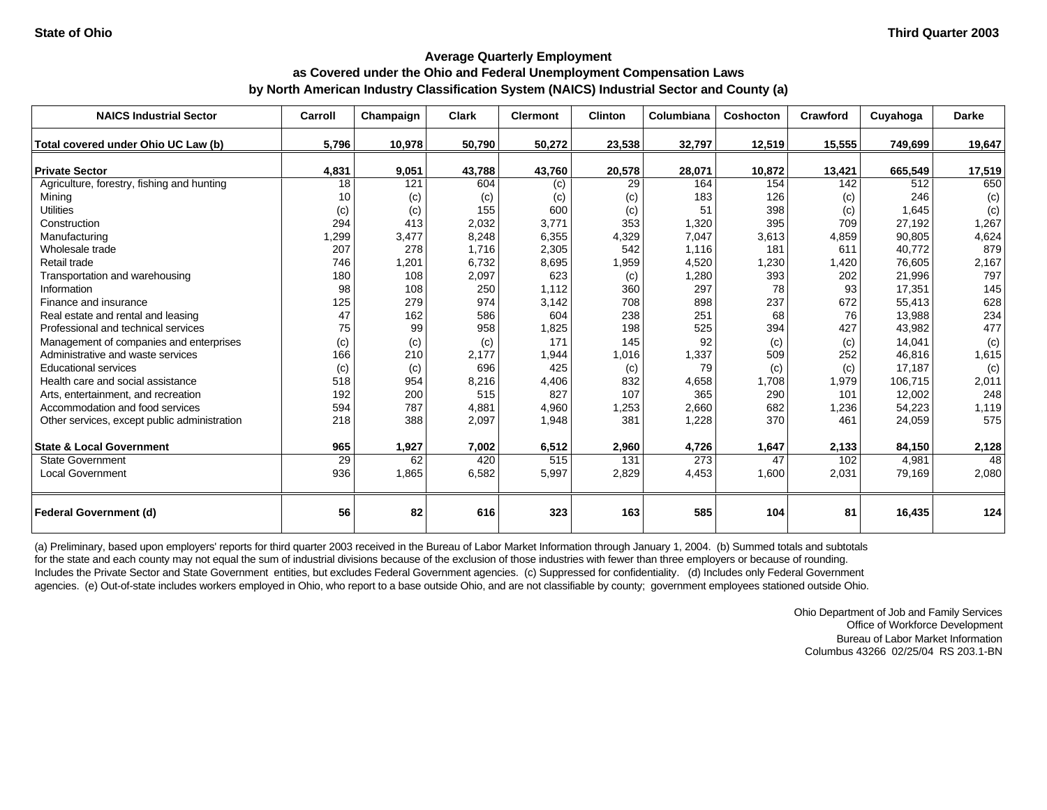## **Average Quarterly Employment as Covered under the Ohio and Federal Unemployment Compensation Laws by North American Industry Classification System (NAICS) Industrial Sector and County (a)**

| <b>NAICS Industrial Sector</b>               | Carroll | Champaign | <b>Clark</b> | <b>Clermont</b> | <b>Clinton</b> | Columbiana | <b>Coshocton</b> | Crawford | Cuyahoga | <b>Darke</b> |
|----------------------------------------------|---------|-----------|--------------|-----------------|----------------|------------|------------------|----------|----------|--------------|
| Total covered under Ohio UC Law (b)          | 5,796   | 10,978    | 50,790       | 50,272          | 23,538         | 32,797     | 12,519           | 15,555   | 749,699  | 19,647       |
| <b>Private Sector</b>                        | 4,831   | 9,051     | 43,788       | 43,760          | 20,578         | 28,071     | 10,872           | 13,421   | 665,549  | 17,519       |
| Agriculture, forestry, fishing and hunting   | 18      | 121       | 604          | (c)             | 29             | 164        | 154              | 142      | 512      | 650          |
| Mining                                       | 10      | (c)       | (c)          | (c)             | (c)            | 183        | 126              | (c)      | 246      | (c)          |
| <b>Utilities</b>                             | (c)     | (c)       | 155          | 600             | (c)            | 51         | 398              | (c)      | 1,645    | (c)          |
| Construction                                 | 294     | 413       | 2,032        | 3,771           | 353            | 1,320      | 395              | 709      | 27,192   | 1,267        |
| Manufacturing                                | ,299    | 3,477     | 8,248        | 6,355           | 4,329          | 7,047      | 3,613            | 4,859    | 90,805   | 4,624        |
| Wholesale trade                              | 207     | 278       | 1,716        | 2,305           | 542            | 1,116      | 181              | 611      | 40,772   | 879          |
| Retail trade                                 | 746     | 1,201     | 6,732        | 8,695           | 1,959          | 4,520      | 1,230            | 1,420    | 76,605   | 2,167        |
| Transportation and warehousing               | 180     | 108       | 2,097        | 623             | (c)            | 1,280      | 393              | 202      | 21,996   | 797          |
| Information                                  | 98      | 108       | 250          | 1,112           | 360            | 297        | 78               | 93       | 17,351   | 145          |
| Finance and insurance                        | 125     | 279       | 974          | 3,142           | 708            | 898        | 237              | 672      | 55,413   | 628          |
| Real estate and rental and leasing           | 47      | 162       | 586          | 604             | 238            | 251        | 68               | 76       | 13,988   | 234          |
| Professional and technical services          | 75      | 99        | 958          | 1,825           | 198            | 525        | 394              | 427      | 43,982   | 477          |
| Management of companies and enterprises      | (c)     | (c)       | (c)          | 171             | 145            | 92         | (c)              | (c)      | 14,041   | (c)          |
| Administrative and waste services            | 166     | 210       | 2,177        | 1,944           | 1,016          | 1,337      | 509              | 252      | 46,816   | 1,615        |
| <b>Educational services</b>                  | (c)     | (c)       | 696          | 425             | (c)            | 79         | (c)              | (c)      | 17,187   | (c)          |
| Health care and social assistance            | 518     | 954       | 8,216        | 4,406           | 832            | 4,658      | 1,708            | 1,979    | 106,715  | 2,011        |
| Arts, entertainment, and recreation          | 192     | 200       | 515          | 827             | 107            | 365        | 290              | 101      | 12,002   | 248          |
| Accommodation and food services              | 594     | 787       | 4,881        | 4,960           | 1,253          | 2,660      | 682              | 1,236    | 54,223   | 1,119        |
| Other services, except public administration | 218     | 388       | 2,097        | 1,948           | 381            | 1,228      | 370              | 461      | 24,059   | 575          |
| <b>State &amp; Local Government</b>          | 965     | 1,927     | 7,002        | 6,512           | 2,960          | 4,726      | 1,647            | 2,133    | 84,150   | 2,128        |
| <b>State Government</b>                      | 29      | 62        | 420          | 515             | 131            | 273        | 47               | 102      | 4,981    | 48           |
| <b>Local Government</b>                      | 936     | 1,865     | 6,582        | 5,997           | 2,829          | 4,453      | 1,600            | 2,031    | 79,169   | 2,080        |
| <b>Federal Government (d)</b>                | 56      | 82        | 616          | 323             | 163            | 585        | 104              | 81       | 16,435   | 124          |

(a) Preliminary, based upon employers' reports for third quarter 2003 received in the Bureau of Labor Market Information through January 1, 2004. (b) Summed totals and subtotals for the state and each county may not equal the sum of industrial divisions because of the exclusion of those industries with fewer than three employers or because of rounding. Includes the Private Sector and State Government entities, but excludes Federal Government agencies. (c) Suppressed for confidentiality. (d) Includes only Federal Government agencies. (e) Out-of-state includes workers employed in Ohio, who report to a base outside Ohio, and are not classifiable by county; government employees stationed outside Ohio.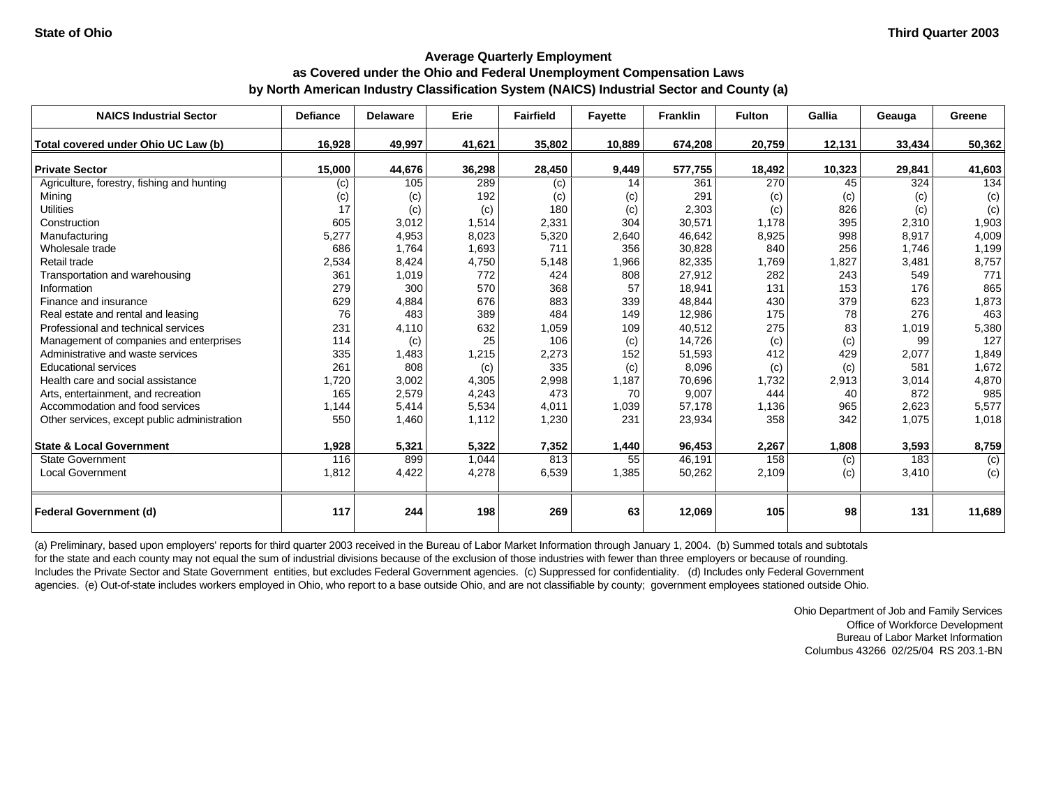# **Average Quarterly Employment as Covered under the Ohio and Federal Unemployment Compensation Laws**

**by North American Industry Classification System (NAICS) Industrial Sector and County (a)**

| <b>NAICS Industrial Sector</b>               | <b>Defiance</b> | <b>Delaware</b> | Erie   | <b>Fairfield</b> | <b>Fayette</b> | <b>Franklin</b> | <b>Fulton</b> | Gallia | Geauga | Greene         |
|----------------------------------------------|-----------------|-----------------|--------|------------------|----------------|-----------------|---------------|--------|--------|----------------|
| Total covered under Ohio UC Law (b)          | 16,928          | 49,997          | 41,621 | 35,802           | 10,889         | 674,208         | 20,759        | 12,131 | 33,434 | 50,362         |
| <b>Private Sector</b>                        | 15,000          | 44,676          | 36,298 | 28,450           | 9,449          | 577,755         | 18,492        | 10,323 | 29,841 | 41,603         |
| Agriculture, forestry, fishing and hunting   | (c)             | 105             | 289    | (c)              | 14             | 361             | 270           | 45     | 324    | 134            |
| Mining                                       | (c)             | (c)             | 192    | (c)              | (c)            | 291             | (c)           | (c)    | (c)    | (c)            |
| <b>Utilities</b>                             | 17              | (c)             | (c)    | 180              | (c)            | 2,303           | (c)           | 826    | (c)    | (c)            |
| Construction                                 | 605             | 3,012           | 1,514  | 2,331            | 304            | 30,571          | 1.178         | 395    | 2,310  | 1,903          |
| Manufacturing                                | 5,277           | 4,953           | 8,023  | 5,320            | 2,640          | 46,642          | 8,925         | 998    | 8,917  | 4,009          |
| Wholesale trade                              | 686             | 1,764           | 1,693  | 711              | 356            | 30,828          | 840           | 256    | 1,746  | 1,199          |
| Retail trade                                 | 2,534           | 8,424           | 4,750  | 5,148            | 1,966          | 82,335          | 1,769         | 1,827  | 3,481  | 8,757          |
| Transportation and warehousing               | 361             | 1,019           | 772    | 424              | 808            | 27,912          | 282           | 243    | 549    | 771            |
| Information                                  | 279             | 300             | 570    | 368              | 57             | 18,941          | 131           | 153    | 176    | 865            |
| Finance and insurance                        | 629             | 4,884           | 676    | 883              | 339            | 48,844          | 430           | 379    | 623    | 1,873          |
| Real estate and rental and leasing           | 76              | 483             | 389    | 484              | 149            | 12,986          | 175           | 78     | 276    | 463            |
| Professional and technical services          | 231             | 4,110           | 632    | 1,059            | 109            | 40,512          | 275           | 83     | 1,019  | 5,380          |
| Management of companies and enterprises      | 114             | (c)             | 25     | 106              | (c)            | 14,726          | (c)           | (c)    | 99     | 127            |
| Administrative and waste services            | 335             | 1,483           | 1,215  | 2,273            | 152            | 51,593          | 412           | 429    | 2,077  | 1,849          |
| <b>Educational services</b>                  | 261             | 808             | (c)    | 335              | (c)            | 8,096           | (c)           | (c)    | 581    | 1,672          |
| Health care and social assistance            | 1,720           | 3,002           | 4,305  | 2,998            | 1,187          | 70,696          | 1,732         | 2,913  | 3,014  | 4,870          |
| Arts, entertainment, and recreation          | 165             | 2,579           | 4,243  | 473              | 70             | 9,007           | 444           | 40     | 872    | 985            |
| Accommodation and food services              | 1,144           | 5,414           | 5,534  | 4,011            | 1,039          | 57,178          | 1,136         | 965    | 2,623  | 5,577          |
| Other services, except public administration | 550             | 1,460           | 1,112  | 1,230            | 231            | 23,934          | 358           | 342    | 1,075  | 1,018          |
| <b>State &amp; Local Government</b>          | 1,928           | 5,321           | 5,322  | 7,352            | 1,440          | 96,453          | 2,267         | 1,808  | 3,593  | 8,759          |
| <b>State Government</b>                      | 116             | 899             | 1,044  | 813              | 55             | 46,191          | 158           | (c)    | 183    | $\overline{c}$ |
| <b>Local Government</b>                      | 1,812           | 4,422           | 4,278  | 6,539            | 1,385          | 50,262          | 2,109         | (c)    | 3,410  | (c)            |
| <b>Federal Government (d)</b>                | 117             | 244             | 198    | 269              | 63             | 12,069          | 105           | 98     | 131    | 11,689         |

(a) Preliminary, based upon employers' reports for third quarter 2003 received in the Bureau of Labor Market Information through January 1, 2004. (b) Summed totals and subtotals for the state and each county may not equal the sum of industrial divisions because of the exclusion of those industries with fewer than three employers or because of rounding. Includes the Private Sector and State Government entities, but excludes Federal Government agencies. (c) Suppressed for confidentiality. (d) Includes only Federal Government agencies. (e) Out-of-state includes workers employed in Ohio, who report to a base outside Ohio, and are not classifiable by county; government employees stationed outside Ohio.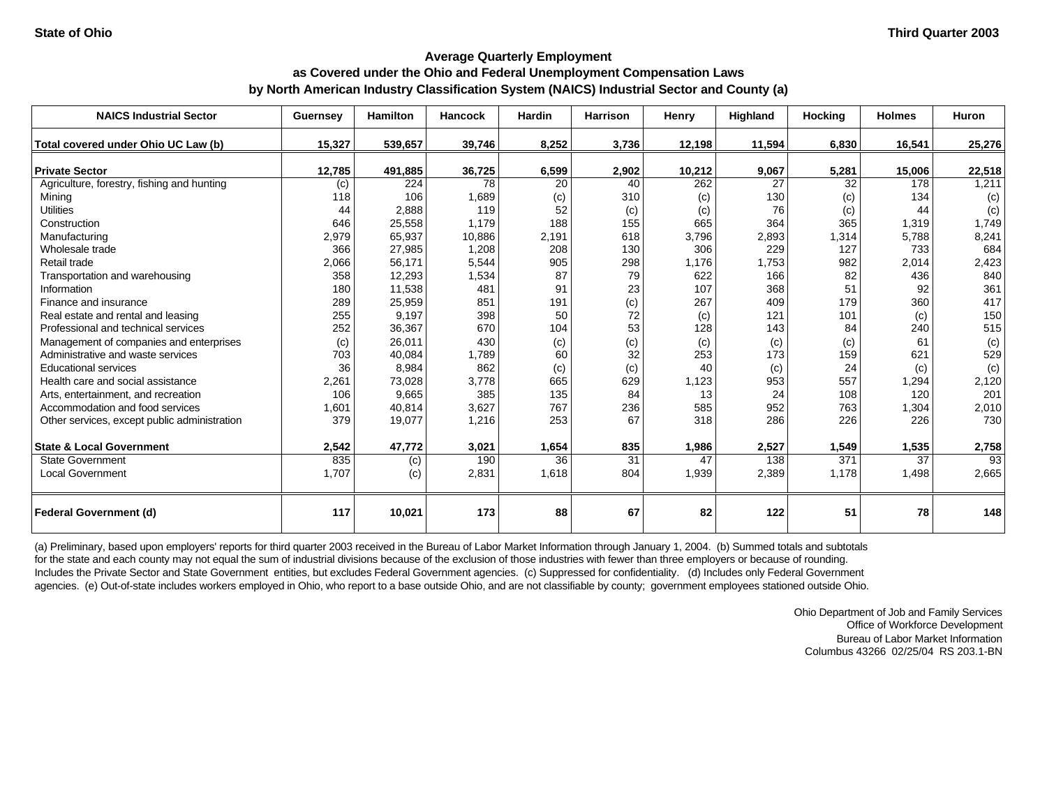## **Average Quarterly Employment as Covered under the Ohio and Federal Unemployment Compensation Laws by North American Industry Classification System (NAICS) Industrial Sector and County (a)**

| <b>NAICS Industrial Sector</b>               | Guernsey | <b>Hamilton</b> | <b>Hancock</b> | <b>Hardin</b> | <b>Harrison</b> | Henry  | Highland | <b>Hocking</b> | <b>Holmes</b> | Huron  |
|----------------------------------------------|----------|-----------------|----------------|---------------|-----------------|--------|----------|----------------|---------------|--------|
| Total covered under Ohio UC Law (b)          | 15.327   | 539,657         | 39,746         | 8,252         | 3.736           | 12,198 | 11,594   | 6,830          | 16,541        | 25,276 |
| <b>Private Sector</b>                        | 12,785   | 491,885         | 36,725         | 6,599         | 2,902           | 10,212 | 9,067    | 5,281          | 15,006        | 22,518 |
| Agriculture, forestry, fishing and hunting   | (c)      | 224             | 78             | 20            | 40              | 262    | 27       | 32             | 178           | 1,211  |
| Mining                                       | 118      | 106             | 1,689          | (c)           | 310             | (c)    | 130      | (c)            | 134           | (c)    |
| <b>Utilities</b>                             | 44       | 2,888           | 119            | 52            | (c)             | (c)    | 76       | (c)            | 44            | (c)    |
| Construction                                 | 646      | 25,558          | 1,179          | 188           | 155             | 665    | 364      | 365            | 1,319         | 1,749  |
| Manufacturing                                | 2,979    | 65,937          | 10,886         | 2,191         | 618             | 3,796  | 2,893    | 1,314          | 5,788         | 8,241  |
| Wholesale trade                              | 366      | 27,985          | 1,208          | 208           | 130             | 306    | 229      | 127            | 733           | 684    |
| Retail trade                                 | 2,066    | 56,171          | 5,544          | 905           | 298             | 1,176  | 1,753    | 982            | 2,014         | 2,423  |
| Transportation and warehousing               | 358      | 12,293          | 1,534          | 87            | 79              | 622    | 166      | 82             | 436           | 840    |
| Information                                  | 180      | 11,538          | 481            | 91            | 23              | 107    | 368      | 51             | 92            | 361    |
| Finance and insurance                        | 289      | 25,959          | 851            | 191           | (c)             | 267    | 409      | 179            | 360           | 417    |
| Real estate and rental and leasing           | 255      | 9,197           | 398            | 50            | 72              | (c)    | 121      | 101            | (c)           | 150    |
| Professional and technical services          | 252      | 36,367          | 670            | 104           | 53              | 128    | 143      | 84             | 240           | 515    |
| Management of companies and enterprises      | (c)      | 26,011          | 430            | (c)           | (c)             | (c)    | (c)      | (c)            | 61            | (c)    |
| Administrative and waste services            | 703      | 40,084          | 1,789          | 60            | 32              | 253    | 173      | 159            | 621           | 529    |
| <b>Educational services</b>                  | 36       | 8,984           | 862            | (c)           | (c)             | 40     | (c)      | 24             | (c)           | (c)    |
| Health care and social assistance            | 2,261    | 73,028          | 3,778          | 665           | 629             | 1,123  | 953      | 557            | 1,294         | 2,120  |
| Arts, entertainment, and recreation          | 106      | 9.665           | 385            | 135           | 84              | 13     | 24       | 108            | 120           | 201    |
| Accommodation and food services              | 1,601    | 40,814          | 3,627          | 767           | 236             | 585    | 952      | 763            | 1,304         | 2,010  |
| Other services, except public administration | 379      | 19,077          | 1,216          | 253           | 67              | 318    | 286      | 226            | 226           | 730    |
| <b>State &amp; Local Government</b>          | 2,542    | 47,772          | 3,021          | 1,654         | 835             | 1,986  | 2,527    | 1,549          | 1,535         | 2,758  |
| <b>State Government</b>                      | 835      | (c)             | 190            | 36            | 31              | 47     | 138      | 371            | 37            | 93     |
| <b>Local Government</b>                      | 1,707    | (c)             | 2,831          | 1,618         | 804             | 1,939  | 2,389    | 1,178          | 1,498         | 2,665  |
| <b>Federal Government (d)</b>                | 117      | 10,021          | 173            | 88            | 67              | 82     | 122      | 51             | 78            | 148    |

(a) Preliminary, based upon employers' reports for third quarter 2003 received in the Bureau of Labor Market Information through January 1, 2004. (b) Summed totals and subtotals for the state and each county may not equal the sum of industrial divisions because of the exclusion of those industries with fewer than three employers or because of rounding. Includes the Private Sector and State Government entities, but excludes Federal Government agencies. (c) Suppressed for confidentiality. (d) Includes only Federal Government agencies. (e) Out-of-state includes workers employed in Ohio, who report to a base outside Ohio, and are not classifiable by county; government employees stationed outside Ohio.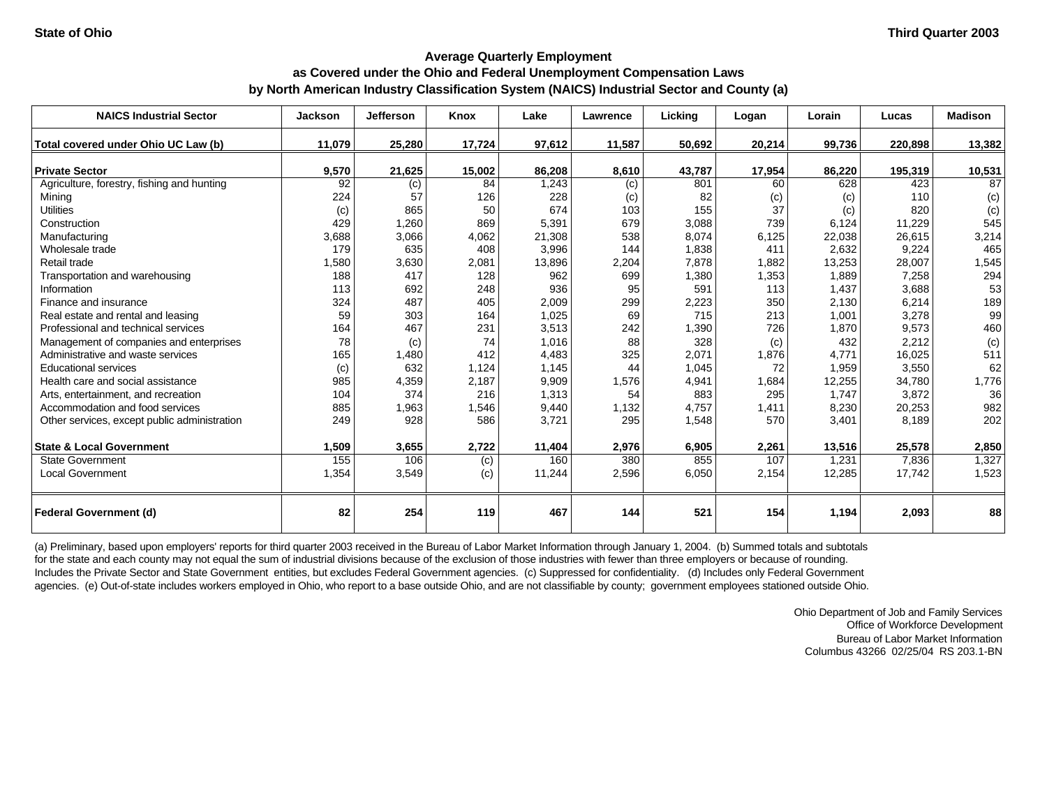### **Average Quarterly Employment as Covered under the Ohio and Federal Unemployment Compensation Laws**

## **by North American Industry Classification System (NAICS) Industrial Sector and County (a)**

| <b>NAICS Industrial Sector</b>               | <b>Jackson</b> | Jefferson | Knox   | Lake   | Lawrence | Licking | Logan  | Lorain | Lucas   | <b>Madison</b> |
|----------------------------------------------|----------------|-----------|--------|--------|----------|---------|--------|--------|---------|----------------|
| Total covered under Ohio UC Law (b)          | 11,079         | 25,280    | 17,724 | 97,612 | 11,587   | 50,692  | 20,214 | 99,736 | 220,898 | 13,382         |
| <b>Private Sector</b>                        | 9,570          | 21,625    | 15,002 | 86,208 | 8,610    | 43,787  | 17,954 | 86,220 | 195,319 | 10,531         |
| Agriculture, forestry, fishing and hunting   | 92             | (c)       | 84     | 1,243  | (c)      | 801     | 60     | 628    | 423     | 87             |
| Mining                                       | 224            | 57        | 126    | 228    | (c)      | 82      | (c)    | (c)    | 110     | (c)            |
| <b>Utilities</b>                             | (c)            | 865       | 50     | 674    | 103      | 155     | 37     | (c)    | 820     | (c)            |
| Construction                                 | 429            | 1,260     | 869    | 5,391  | 679      | 3,088   | 739    | 6,124  | 11,229  | 545            |
| Manufacturing                                | 3,688          | 3,066     | 4,062  | 21,308 | 538      | 8,074   | 6,125  | 22,038 | 26,615  | 3,214          |
| Wholesale trade                              | 179            | 635       | 408    | 3,996  | 144      | 1,838   | 411    | 2,632  | 9,224   | 465            |
| Retail trade                                 | 1,580          | 3,630     | 2,081  | 13,896 | 2,204    | 7,878   | 1,882  | 13,253 | 28,007  | 1,545          |
| Transportation and warehousing               | 188            | 417       | 128    | 962    | 699      | 1,380   | 1,353  | 1,889  | 7,258   | 294            |
| Information                                  | 113            | 692       | 248    | 936    | 95       | 591     | 113    | 1,437  | 3,688   | 53             |
| Finance and insurance                        | 324            | 487       | 405    | 2,009  | 299      | 2,223   | 350    | 2,130  | 6,214   | 189            |
| Real estate and rental and leasing           | 59             | 303       | 164    | 1,025  | 69       | 715     | 213    | 1,001  | 3,278   | 99             |
| Professional and technical services          | 164            | 467       | 231    | 3,513  | 242      | 1,390   | 726    | 1,870  | 9,573   | 460            |
| Management of companies and enterprises      | 78             | (c)       | 74     | 1,016  | 88       | 328     | (c)    | 432    | 2,212   | (c)            |
| Administrative and waste services            | 165            | 1,480     | 412    | 4,483  | 325      | 2,071   | 1,876  | 4,771  | 16,025  | 511            |
| <b>Educational services</b>                  | (c)            | 632       | 1,124  | 1.145  | 44       | 1,045   | 72     | 1,959  | 3,550   | 62             |
| Health care and social assistance            | 985            | 4,359     | 2,187  | 9,909  | 1,576    | 4,941   | 1,684  | 12,255 | 34,780  | 1,776          |
| Arts, entertainment, and recreation          | 104            | 374       | 216    | 1,313  | 54       | 883     | 295    | 1,747  | 3,872   | 36             |
| Accommodation and food services              | 885            | 1,963     | 1,546  | 9,440  | 1,132    | 4,757   | 1,411  | 8,230  | 20,253  | 982            |
| Other services, except public administration | 249            | 928       | 586    | 3,721  | 295      | 1,548   | 570    | 3,401  | 8,189   | 202            |
| <b>State &amp; Local Government</b>          | 1,509          | 3,655     | 2,722  | 11,404 | 2,976    | 6,905   | 2,261  | 13,516 | 25,578  | 2,850          |
| <b>State Government</b>                      | 155            | 106       | (c)    | 160    | 380      | 855     | 107    | 1,231  | 7,836   | 1,327          |
| <b>Local Government</b>                      | 1,354          | 3,549     | (c)    | 11,244 | 2,596    | 6,050   | 2,154  | 12,285 | 17,742  | 1,523          |
| <b>Federal Government (d)</b>                | 82             | 254       | 119    | 467    | 144      | 521     | 154    | 1,194  | 2,093   | 88             |

(a) Preliminary, based upon employers' reports for third quarter 2003 received in the Bureau of Labor Market Information through January 1, 2004. (b) Summed totals and subtotals for the state and each county may not equal the sum of industrial divisions because of the exclusion of those industries with fewer than three employers or because of rounding. Includes the Private Sector and State Government entities, but excludes Federal Government agencies. (c) Suppressed for confidentiality. (d) Includes only Federal Government agencies. (e) Out-of-state includes workers employed in Ohio, who report to a base outside Ohio, and are not classifiable by county; government employees stationed outside Ohio.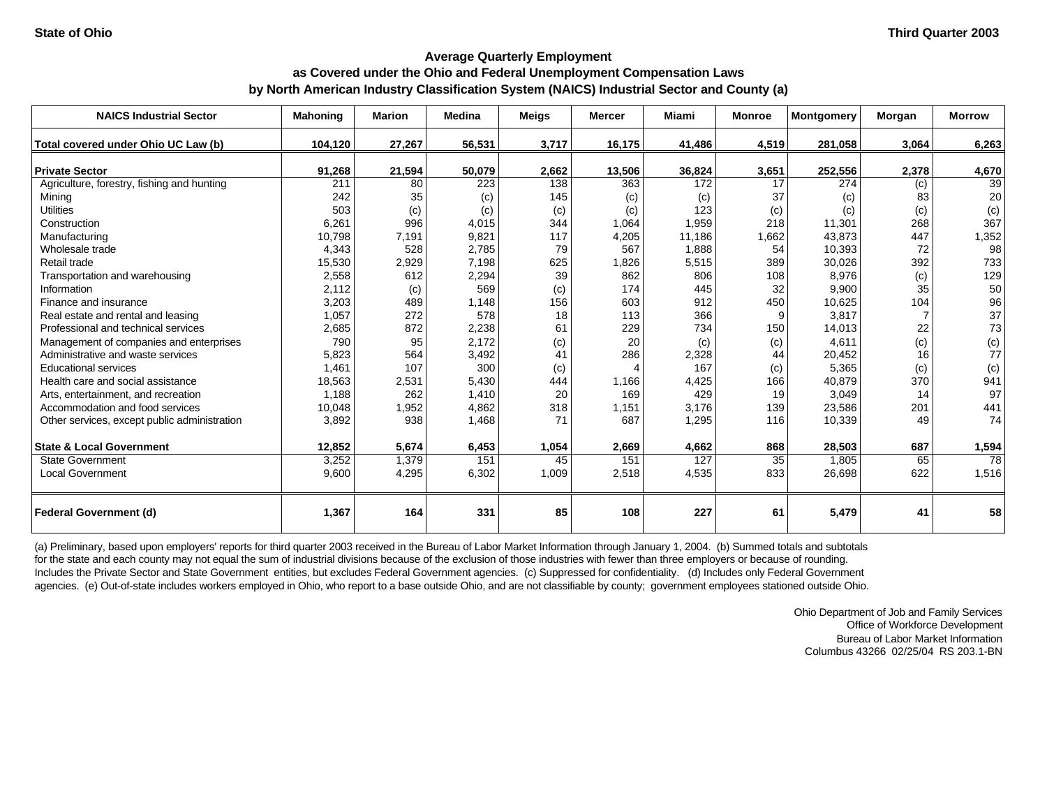# **as Covered under the Ohio and Federal Unemployment Compensation Laws**

**by North American Industry Classification System (NAICS) Industrial Sector and County (a)**

| <b>NAICS Industrial Sector</b>               | <b>Mahoning</b> | <b>Marion</b> | <b>Medina</b> | <b>Meigs</b> | <b>Mercer</b> | <b>Miami</b> | <b>Monroe</b> | <b>Montgomery</b> | <b>Morgan</b> | <b>Morrow</b> |
|----------------------------------------------|-----------------|---------------|---------------|--------------|---------------|--------------|---------------|-------------------|---------------|---------------|
| Total covered under Ohio UC Law (b)          | 104,120         | 27,267        | 56,531        | 3,717        | 16,175        | 41,486       | 4,519         | 281,058           | 3,064         | 6,263         |
|                                              |                 |               |               |              |               |              |               |                   |               |               |
| <b>Private Sector</b>                        | 91,268          | 21,594        | 50,079        | 2,662        | 13,506        | 36,824       | 3,651         | 252,556           | 2,378         | 4,670         |
| Agriculture, forestry, fishing and hunting   | 211             | 80            | 223           | 138          | 363           | 172          | 17            | 274               | (c)           | 39            |
| Mining                                       | 242             | 35            | (c)           | 145          | (c)           | (c)          | 37            | (c)               | 83            | 20            |
| <b>Utilities</b>                             | 503             | (c)           | (c)           | (c)          | (c)           | 123          | (c)           | (c)               | (c)           | (c)           |
| Construction                                 | 6,261           | 996           | 4,015         | 344          | 1,064         | 1,959        | 218           | 11,301            | 268           | 367           |
| Manufacturing                                | 10,798          | 7,191         | 9,821         | 117          | 4,205         | 11,186       | 1,662         | 43.873            | 447           | 1,352         |
| Wholesale trade                              | 4,343           | 528           | 2,785         | 79           | 567           | 1,888        | 54            | 10,393            | 72            | 98            |
| Retail trade                                 | 15,530          | 2,929         | 7,198         | 625          | 1,826         | 5,515        | 389           | 30,026            | 392           | 733           |
| Transportation and warehousing               | 2,558           | 612           | 2,294         | 39           | 862           | 806          | 108           | 8,976             | (c)           | 129           |
| Information                                  | 2,112           | (c)           | 569           | (c)          | 174           | 445          | 32            | 9,900             | 35            | 50            |
| Finance and insurance                        | 3,203           | 489           | 1,148         | 156          | 603           | 912          | 450           | 10,625            | 104           | 96            |
| Real estate and rental and leasing           | 1,057           | 272           | 578           | 18           | 113           | 366          | 9             | 3,817             |               | 37            |
| Professional and technical services          | 2,685           | 872           | 2,238         | 61           | 229           | 734          | 150           | 14,013            | 22            | 73            |
| Management of companies and enterprises      | 790             | 95            | 2,172         | (c)          | 20            | (c)          | (c)           | 4,611             | (c)           | $rac{c}{77}$  |
| Administrative and waste services            | 5,823           | 564           | 3,492         | 41           | 286           | 2,328        | 44            | 20,452            | 16            |               |
| <b>Educational services</b>                  | 1,461           | 107           | 300           | (c)          | 4             | 167          | (c)           | 5,365             | (c)           | (c)           |
| Health care and social assistance            | 18,563          | 2,531         | 5,430         | 444          | 1.166         | 4,425        | 166           | 40,879            | 370           | 941           |
| Arts, entertainment, and recreation          | 1,188           | 262           | 1,410         | 20           | 169           | 429          | 19            | 3,049             | 14            | 97            |
| Accommodation and food services              | 10,048          | 1,952         | 4,862         | 318          | 1,151         | 3,176        | 139           | 23,586            | 201           | 441           |
| Other services, except public administration | 3,892           | 938           | 1,468         | 71           | 687           | 1,295        | 116           | 10,339            | 49            | 74            |
| <b>State &amp; Local Government</b>          | 12,852          | 5,674         | 6,453         | 1,054        | 2,669         | 4,662        | 868           | 28,503            | 687           | 1,594         |
| <b>State Government</b>                      | 3,252           | 1,379         | 151           | 45           | 151           | 127          | 35            | 1.805             | 65            | 78            |
| <b>Local Government</b>                      | 9,600           | 4,295         | 6,302         | 1,009        | 2,518         | 4,535        | 833           | 26,698            | 622           | 1,516         |
| <b>Federal Government (d)</b>                | 1,367           | 164           | 331           | 85           | 108           | 227          | 61            | 5,479             | 41            | 58            |

(a) Preliminary, based upon employers' reports for third quarter 2003 received in the Bureau of Labor Market Information through January 1, 2004. (b) Summed totals and subtotals for the state and each county may not equal the sum of industrial divisions because of the exclusion of those industries with fewer than three employers or because of rounding. Includes the Private Sector and State Government entities, but excludes Federal Government agencies. (c) Suppressed for confidentiality. (d) Includes only Federal Government agencies. (e) Out-of-state includes workers employed in Ohio, who report to a base outside Ohio, and are not classifiable by county; government employees stationed outside Ohio.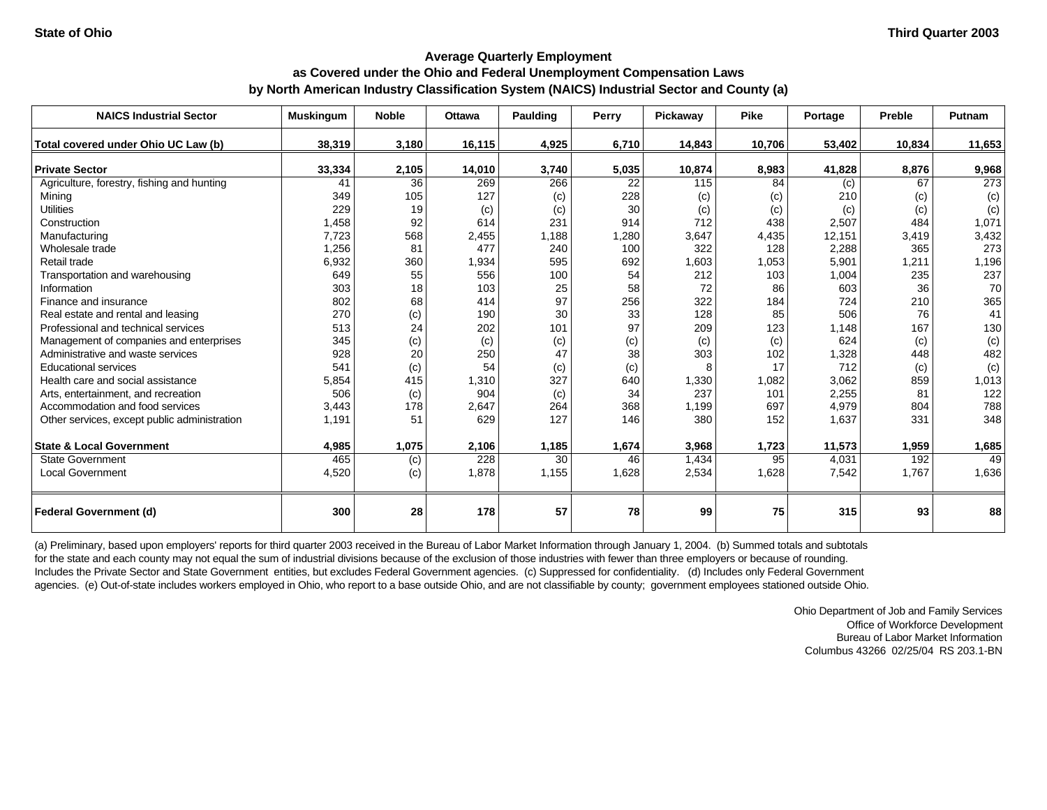## **Average Quarterly Employment as Covered under the Ohio and Federal Unemployment Compensation Laws by North American Industry Classification System (NAICS) Industrial Sector and County (a)**

| <b>NAICS Industrial Sector</b>               | <b>Muskingum</b> | <b>Noble</b> | <b>Ottawa</b> | Paulding | Perry | Pickaway | <b>Pike</b> | Portage | Preble | Putnam |
|----------------------------------------------|------------------|--------------|---------------|----------|-------|----------|-------------|---------|--------|--------|
| Total covered under Ohio UC Law (b)          | 38.319           | 3.180        | 16,115        | 4,925    | 6,710 | 14,843   | 10,706      | 53,402  | 10,834 | 11,653 |
| <b>Private Sector</b>                        | 33,334           | 2,105        | 14,010        | 3,740    | 5,035 | 10,874   | 8,983       | 41,828  | 8,876  | 9,968  |
| Agriculture, forestry, fishing and hunting   | 41               | 36           | 269           | 266      | 22    | 115      | 84          | (c)     | 67     | 273    |
| Mining                                       | 349              | 105          | 127           | (c)      | 228   | (c)      | (c)         | 210     | (c)    | (c)    |
| <b>Utilities</b>                             | 229              | 19           | (c)           | (c)      | 30    | (c)      | (c)         | (c)     | (c)    | (c)    |
| Construction                                 | 1,458            | 92           | 614           | 231      | 914   | 712      | 438         | 2,507   | 484    | 1,071  |
| Manufacturing                                | 7,723            | 568          | 2,455         | 1,188    | 1,280 | 3,647    | 4,435       | 12,151  | 3,419  | 3,432  |
| Wholesale trade                              | 1,256            | 81           | 477           | 240      | 100   | 322      | 128         | 2,288   | 365    | 273    |
| Retail trade                                 | 6,932            | 360          | 1,934         | 595      | 692   | 1,603    | 1,053       | 5,901   | 1,211  | 1,196  |
| Transportation and warehousing               | 649              | 55           | 556           | 100      | 54    | 212      | 103         | 1,004   | 235    | 237    |
| Information                                  | 303              | 18           | 103           | 25       | 58    | 72       | 86          | 603     | 36     | 70     |
| Finance and insurance                        | 802              | 68           | 414           | 97       | 256   | 322      | 184         | 724     | 210    | 365    |
| Real estate and rental and leasing           | 270              | (c)          | 190           | 30       | 33    | 128      | 85          | 506     | 76     | 41     |
| Professional and technical services          | 513              | 24           | 202           | 101      | 97    | 209      | 123         | 1,148   | 167    | 130    |
| Management of companies and enterprises      | 345              | (c)          | (c)           | (c)      | (c)   | (c)      | (c)         | 624     | (c)    | (c)    |
| Administrative and waste services            | 928              | 20           | 250           | 47       | 38    | 303      | 102         | 1,328   | 448    | 482    |
| <b>Educational services</b>                  | 541              | (c)          | 54            | (c)      | (c)   | 8        | 17          | 712     | (c)    | (c)    |
| Health care and social assistance            | 5,854            | 415          | 1,310         | 327      | 640   | 1,330    | 1,082       | 3,062   | 859    | 1,013  |
| Arts, entertainment, and recreation          | 506              | (c)          | 904           | (c)      | 34    | 237      | 101         | 2,255   | 81     | 122    |
| Accommodation and food services              | 3,443            | 178          | 2,647         | 264      | 368   | 1,199    | 697         | 4,979   | 804    | 788    |
| Other services, except public administration | 1,191            | 51           | 629           | 127      | 146   | 380      | 152         | 1,637   | 331    | 348    |
| <b>State &amp; Local Government</b>          | 4,985            | 1,075        | 2,106         | 1,185    | 1,674 | 3,968    | 1,723       | 11,573  | 1,959  | 1,685  |
| <b>State Government</b>                      | 465              | (c)          | 228           | 30       | 46    | 1,434    | 95          | 4,031   | 192    | 49     |
| Local Government                             | 4,520            | (c)          | 1,878         | 1,155    | 1,628 | 2,534    | 1,628       | 7,542   | 1,767  | 1,636  |
| <b>Federal Government (d)</b>                | 300              | 28           | 178           | 57       | 78    | 99       | 75          | 315     | 93     | 88     |

(a) Preliminary, based upon employers' reports for third quarter 2003 received in the Bureau of Labor Market Information through January 1, 2004. (b) Summed totals and subtotals for the state and each county may not equal the sum of industrial divisions because of the exclusion of those industries with fewer than three employers or because of rounding. Includes the Private Sector and State Government entities, but excludes Federal Government agencies. (c) Suppressed for confidentiality. (d) Includes only Federal Government agencies. (e) Out-of-state includes workers employed in Ohio, who report to a base outside Ohio, and are not classifiable by county; government employees stationed outside Ohio.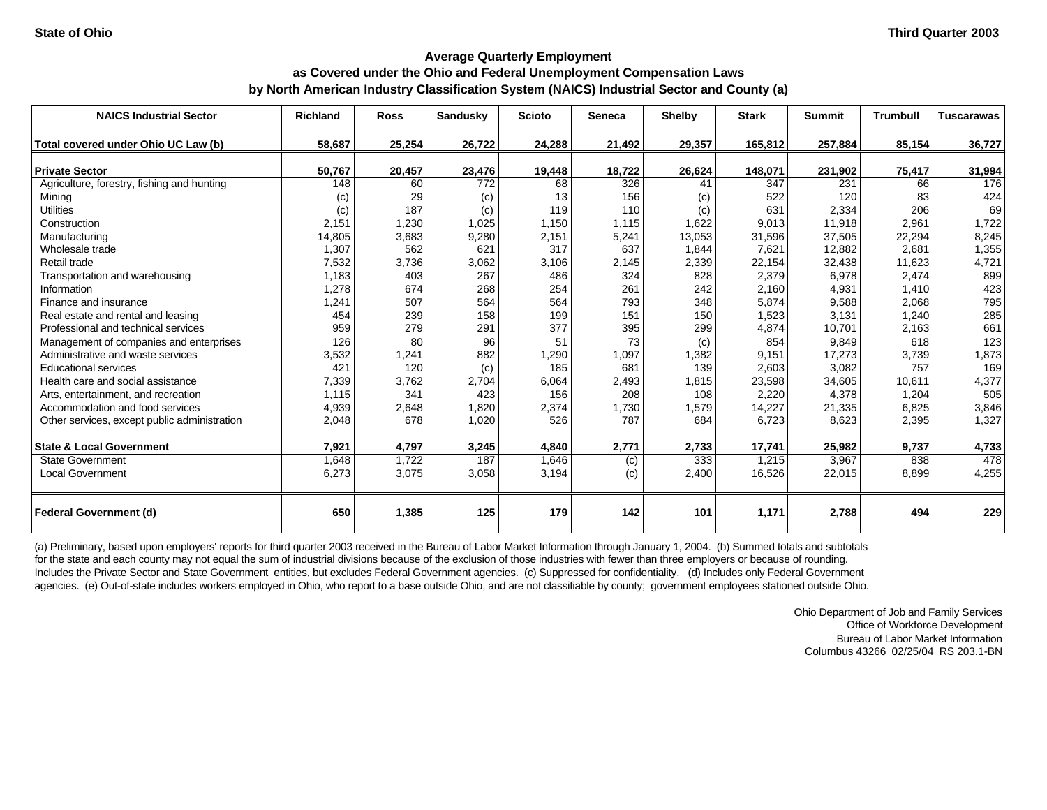### **as Covered under the Ohio and Federal Unemployment Compensation Laws by North American Industry Classification System (NAICS) Industrial Sector and County (a)**

| <b>NAICS Industrial Sector</b>               | <b>Richland</b> | <b>Ross</b> | <b>Sandusky</b> | <b>Scioto</b> | <b>Seneca</b> | Shelby | <b>Stark</b> | <b>Summit</b> | <b>Trumbull</b> | <b>Tuscarawas</b> |
|----------------------------------------------|-----------------|-------------|-----------------|---------------|---------------|--------|--------------|---------------|-----------------|-------------------|
| Total covered under Ohio UC Law (b)          | 58.687          | 25,254      | 26,722          | 24,288        | 21,492        | 29,357 | 165,812      | 257,884       | 85,154          | 36,727            |
| <b>Private Sector</b>                        | 50,767          | 20,457      | 23,476          | 19,448        | 18,722        | 26,624 | 148,071      | 231,902       | 75,417          | 31,994            |
| Agriculture, forestry, fishing and hunting   | 148             | 60          | 772             | 68            | 326           | 41     | 347          | 231           | 66              | 176               |
| Mining                                       | (c)             | 29          | (c)             | 13            | 156           | (c)    | 522          | 120           | 83              | 424               |
| <b>Utilities</b>                             | (c)             | 187         | (c)             | 119           | 110           | (c)    | 631          | 2,334         | 206             | 69                |
| Construction                                 | 2,151           | 1,230       | 1,025           | 1,150         | 1,115         | 1,622  | 9,013        | 11,918        | 2,961           | 1,722             |
| Manufacturing                                | 14,805          | 3,683       | 9,280           | 2,151         | 5,241         | 13,053 | 31,596       | 37,505        | 22,294          | 8,245             |
| Wholesale trade                              | 1,307           | 562         | 621             | 317           | 637           | 1,844  | 7,621        | 12,882        | 2,681           | 1,355             |
| Retail trade                                 | 7,532           | 3,736       | 3,062           | 3,106         | 2,145         | 2,339  | 22,154       | 32,438        | 11,623          | 4,721             |
| Transportation and warehousing               | 1,183           | 403         | 267             | 486           | 324           | 828    | 2,379        | 6,978         | 2,474           | 899               |
| Information                                  | 1,278           | 674         | 268             | 254           | 261           | 242    | 2,160        | 4,931         | 1,410           | 423               |
| Finance and insurance                        | 1,241           | 507         | 564             | 564           | 793           | 348    | 5,874        | 9,588         | 2,068           | 795               |
| Real estate and rental and leasing           | 454             | 239         | 158             | 199           | 151           | 150    | 1,523        | 3,131         | 1.240           | 285               |
| Professional and technical services          | 959             | 279         | 291             | 377           | 395           | 299    | 4,874        | 10.701        | 2,163           | 661               |
| Management of companies and enterprises      | 126             | 80          | 96              | 51            | 73            | (c)    | 854          | 9,849         | 618             | 123               |
| Administrative and waste services            | 3,532           | 1,241       | 882             | 1,290         | 1,097         | 1,382  | 9,151        | 17,273        | 3,739           | 1,873             |
| <b>Educational services</b>                  | 421             | 120         | (c)             | 185           | 681           | 139    | 2,603        | 3,082         | 757             | 169               |
| Health care and social assistance            | 7,339           | 3,762       | 2,704           | 6,064         | 2,493         | 1,815  | 23,598       | 34,605        | 10,611          | 4,377             |
| Arts, entertainment, and recreation          | 1,115           | 341         | 423             | 156           | 208           | 108    | 2,220        | 4,378         | 1,204           | 505               |
| Accommodation and food services              | 4,939           | 2,648       | 1,820           | 2,374         | 1,730         | 1,579  | 14,227       | 21,335        | 6,825           | 3,846             |
| Other services, except public administration | 2,048           | 678         | 1,020           | 526           | 787           | 684    | 6,723        | 8,623         | 2,395           | 1,327             |
| <b>State &amp; Local Government</b>          | 7,921           | 4,797       | 3,245           | 4,840         | 2,771         | 2,733  | 17,741       | 25,982        | 9,737           | 4,733             |
| State Government                             | 1,648           | 1,722       | 187             | 1,646         | (c)           | 333    | 1,215        | 3,967         | 838             | 478               |
| Local Government                             | 6,273           | 3,075       | 3,058           | 3,194         | (c)           | 2,400  | 16,526       | 22,015        | 8,899           | 4,255             |
| <b>Federal Government (d)</b>                | 650             | 1,385       | 125             | 179           | 142           | 101    | 1,171        | 2,788         | 494             | 229               |

(a) Preliminary, based upon employers' reports for third quarter 2003 received in the Bureau of Labor Market Information through January 1, 2004. (b) Summed totals and subtotals for the state and each county may not equal the sum of industrial divisions because of the exclusion of those industries with fewer than three employers or because of rounding. Includes the Private Sector and State Government entities, but excludes Federal Government agencies. (c) Suppressed for confidentiality. (d) Includes only Federal Government agencies. (e) Out-of-state includes workers employed in Ohio, who report to a base outside Ohio, and are not classifiable by county; government employees stationed outside Ohio.